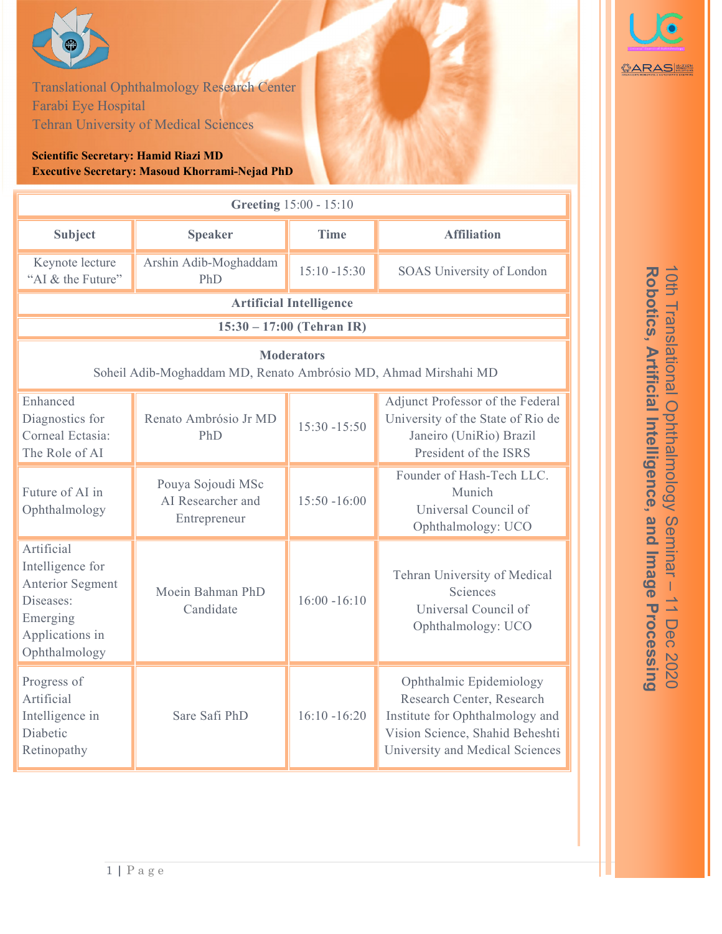

Robotics, Artificial Intelligence, and Image Processing 10th Translational Ophthalmology Seminar **Robotics, Artificial Intelligence,** 10th Translational Ophthalmology Seminar **and Image Processing** 11 Dec 2020 11 Dec 2020

GARAS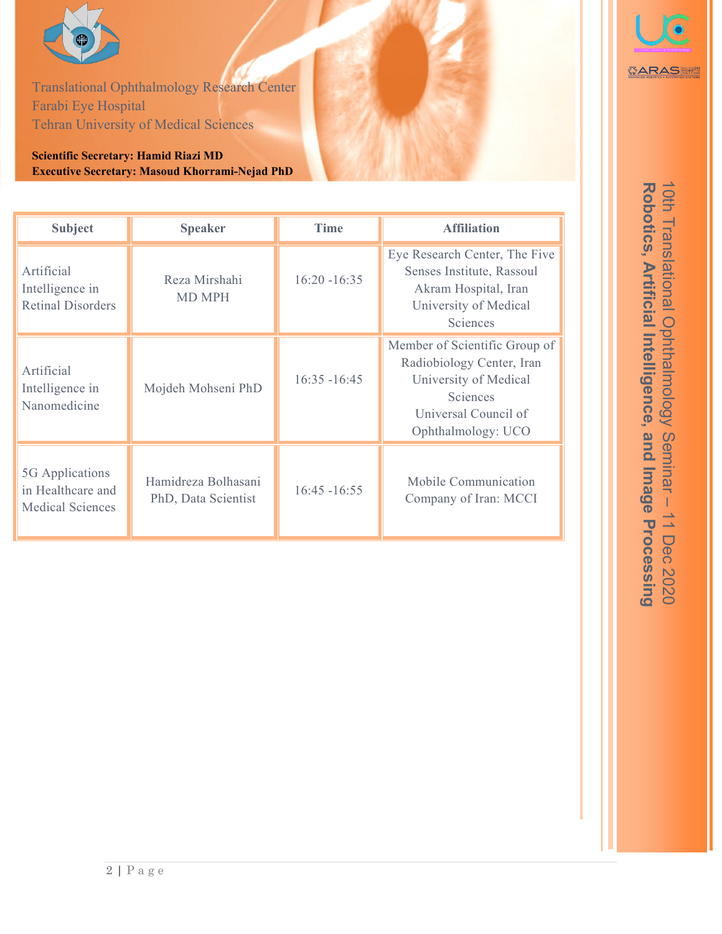

Translational Ophthalmology Research Center Farabi Eye Hospital Tehran University of Medical Sciences

**Scientific Secretary: Hamid Riazi MD Executive Secretary: Masoud Khorrami-Nejad PhD** 

| <b>Subject</b>                                                  | <b>Speaker</b>                             | <b>Time</b>     | <b>Affiliation</b>                                                                                                                            |
|-----------------------------------------------------------------|--------------------------------------------|-----------------|-----------------------------------------------------------------------------------------------------------------------------------------------|
| Artificial<br>Intelligence in<br><b>Retinal Disorders</b>       | Reza Mirshahi<br><b>MD MPH</b>             | $16:20 - 16:35$ | Eye Research Center, The Five<br>Senses Institute, Rassoul<br>Akram Hospital, Iran<br>University of Medical<br>Sciences                       |
| Artificial<br>Intelligence in<br>Nanomedicine                   | Mojdeh Mohseni PhD                         | $16:35 - 16:45$ | Member of Scientific Group of<br>Radiobiology Center, Iran<br>University of Medical<br>Sciences<br>Universal Council of<br>Ophthalmology: UCO |
| 5G Applications<br>in Healthcare and<br><b>Medical Sciences</b> | Hamidreza Bolhasani<br>PhD, Data Scientist | $16:45 - 16:55$ | Mobile Communication<br>Company of Iran: MCCI                                                                                                 |



Robotics, Artificial Intelligence, and Image Processing 10th Translational Ophthalmology Seminar - 11 Dec 2020 10th Translational Ophthalmology Seminar **Robotics, Artificial Intelligence, and Image Processing** 11 Dec 2020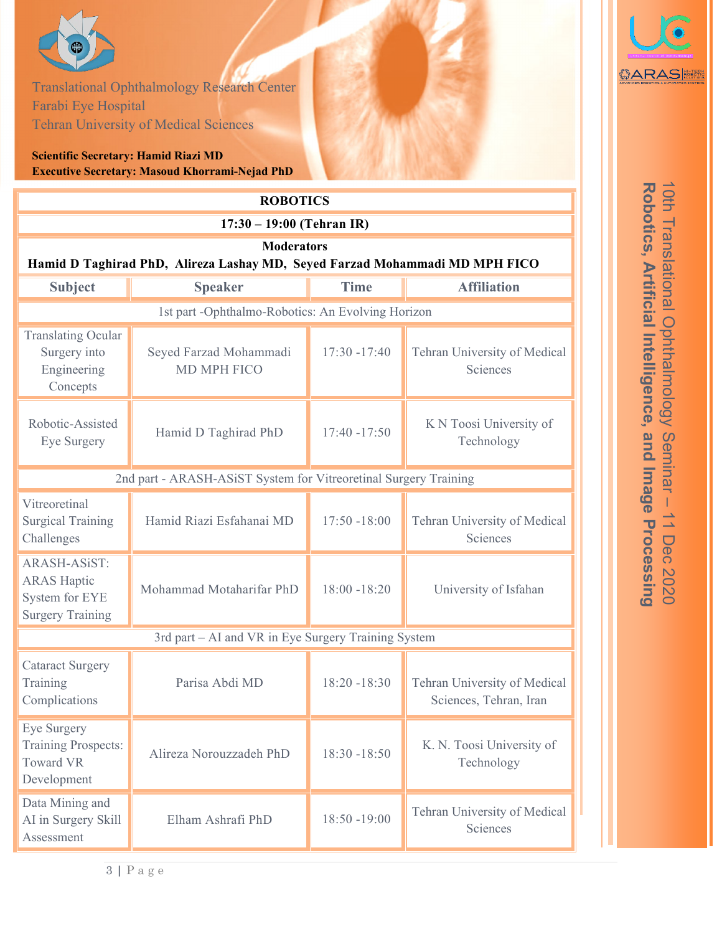

Farabi Eye Hospital Translational Ophthalmology Research Center Tehran University of Medical Sciences

## **Scientific Secretary: Hamid Riazi MD Executive Secretary: Masoud Khorrami-Nejad PhD**

| <b>ROBOTICS</b>                                                                                  |                                              |                 |                                                        |  |  |  |
|--------------------------------------------------------------------------------------------------|----------------------------------------------|-----------------|--------------------------------------------------------|--|--|--|
| $17:30 - 19:00$ (Tehran IR)                                                                      |                                              |                 |                                                        |  |  |  |
| <b>Moderators</b><br>Hamid D Taghirad PhD, Alireza Lashay MD, Seyed Farzad Mohammadi MD MPH FICO |                                              |                 |                                                        |  |  |  |
| <b>Subject</b>                                                                                   | <b>Speaker</b>                               | <b>Time</b>     | <b>Affiliation</b>                                     |  |  |  |
| 1st part -Ophthalmo-Robotics: An Evolving Horizon                                                |                                              |                 |                                                        |  |  |  |
| <b>Translating Ocular</b><br>Surgery into<br>Engineering<br>Concepts                             | Seyed Farzad Mohammadi<br><b>MD MPH FICO</b> | $17:30 - 17:40$ | Tehran University of Medical<br>Sciences               |  |  |  |
| Robotic-Assisted<br>Eye Surgery                                                                  | Hamid D Taghirad PhD                         | $17:40 - 17:50$ | K N Toosi University of<br>Technology                  |  |  |  |
| 2nd part - ARASH-ASiST System for Vitreoretinal Surgery Training                                 |                                              |                 |                                                        |  |  |  |
| Vitreoretinal<br><b>Surgical Training</b><br>Challenges                                          | Hamid Riazi Esfahanai MD                     | $17:50 - 18:00$ | Tehran University of Medical<br>Sciences               |  |  |  |
| <b>ARASH-ASiST:</b><br><b>ARAS Haptic</b><br>System for EYE<br><b>Surgery Training</b>           | Mohammad Motaharifar PhD                     | $18:00 - 18:20$ | University of Isfahan                                  |  |  |  |
| 3rd part - AI and VR in Eye Surgery Training System                                              |                                              |                 |                                                        |  |  |  |
| <b>Cataract Surgery</b><br>Training<br>Complications                                             | Parisa Abdi MD                               | $18:20 - 18:30$ | Tehran University of Medical<br>Sciences, Tehran, Iran |  |  |  |
| Eye Surgery<br><b>Training Prospects:</b><br><b>Toward VR</b><br>Development                     | Alireza Norouzzadeh PhD                      | $18:30 - 18:50$ | K. N. Toosi University of<br>Technology                |  |  |  |
| Data Mining and<br>AI in Surgery Skill<br>Assessment                                             | Elham Ashrafi PhD                            | $18:50 - 19:00$ | Tehran University of Medical<br>Sciences               |  |  |  |



Robotics, Artificial Intelligence, and Image Processing 10th Translational Ophthalmology Seminar - 11 Dec 2020 10th Translational Ophthalmology Seminar **Robotics, Artificial Intelligence, and Image Processing** 11 Dec 2020